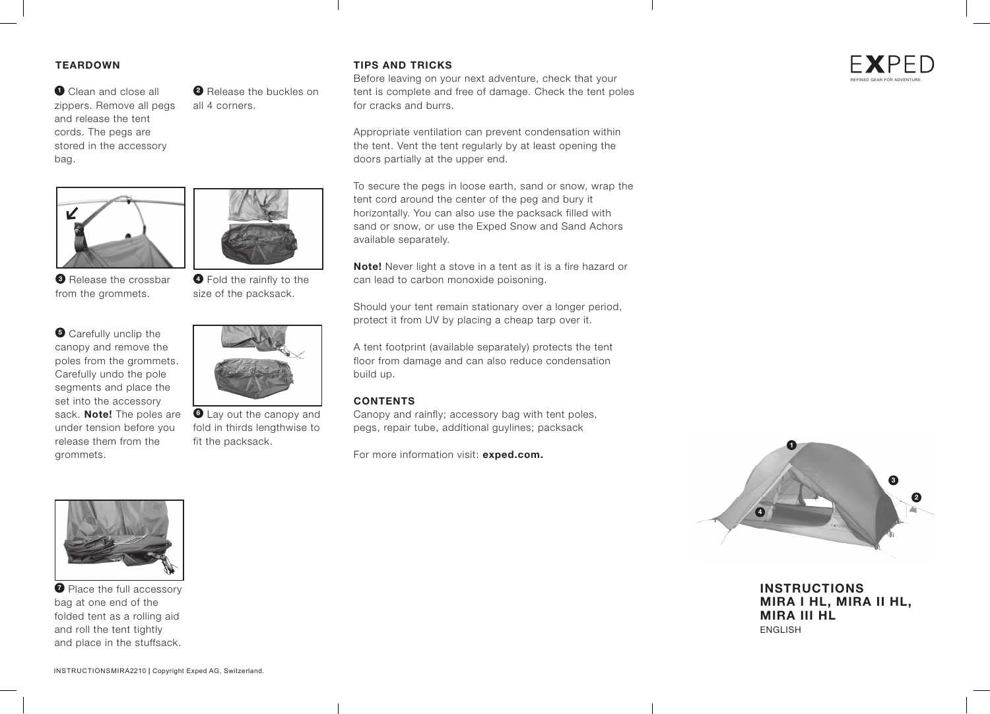## **TEARDOWN**

**<sup>1</sup>** Clean and close all zippers. Remove all pegs and release the tent cords. The pegs are stored in the accessory bag.



**3** Release the crossbar from the grommets.

 $\bullet$  Carefully unclip the canopy and remove the poles from the grommets. Carefully undo the pole segments and place the set into the accessory sack. **Note!** The poles are under tension before you release them from the grommets.



**<sup>2</sup>** Release the buckles on

all 4 corners.

**<sup>4</sup>** Fold the rainfly to the size of the packsack.



**6** Lay out the canopy and fold in thirds lengthwise to fit the packsack.

### **TIPS AND TRICKS**

Before leaving on your next adventure, check that your tent is complete and free of damage. Check the tent poles for cracks and burrs.

Appropriate ventilation can prevent condensation within the tent. Vent the tent regularly by at least opening the doors partially at the upper end.

To secure the pegs in loose earth, sand or snow, wrap the tent cord around the center of the peg and bury it horizontally. You can also use the packsack filled with sand or snow, or use the Exped Snow and Sand Achors available separately.

**Note!** Never light a stove in a tent as it is a fire hazard or can lead to carbon monoxide poisoning.

Should your tent remain stationary over a longer period, protect it from UV by placing a cheap tarp over it.

A tent footprint (available separately) protects the tent floor from damage and can also reduce condensation build up.

#### **CONTENTS**

Canopy and rainfly; accessory bag with tent poles, pegs, repair tube, additional guylines; packsack

For more information visit: **exped.com.**



**INSTRUCTIONS MIRA I HL, MIRA II HL, MIRA III HL** ENGLISH



**<sup>** $\bullet$ **</sup>** Place the full accessory bag at one end of the folded tent as a rolling aid and roll the tent tightly and place in the stuffsack.